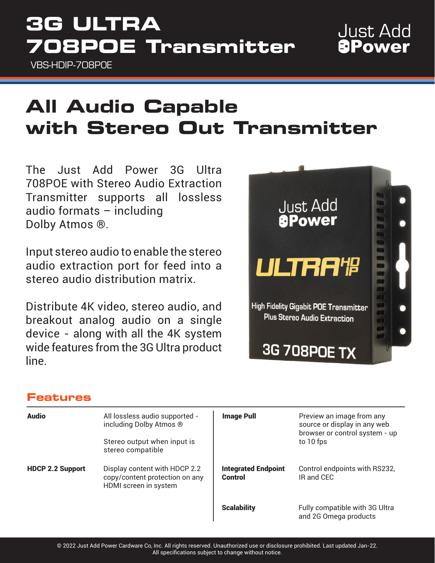# **3G ULTRA 708POE Transmitter**

VBS-HDIP-708POE

# **All Audio Capable with Stereo Out Transmitter**

The Just Add Power 3G Ultra 708POE with Stereo Audio Extraction Transmitter supports all lossless audio formats – including Dolby Atmos ®.

Input stereo audio to enable the stereo audio extraction port for feed into a stereo audio distribution matrix.

Distribute 4K video, stereo audio, and breakout analog audio on a single device - along with all the 4K system wide features from the 3G Ultra product line.



## **Features**

| <b>Audio</b>            | All lossless audio supported -<br>including Dolby Atmos ®<br>Stereo output when input is<br>stereo compatible | <b>Image Pull</b>                     | Preview an image from any<br>source or display in any web<br>browser or control system - up<br>to 10 fps |
|-------------------------|---------------------------------------------------------------------------------------------------------------|---------------------------------------|----------------------------------------------------------------------------------------------------------|
| <b>HDCP 2.2 Support</b> | Display content with HDCP 2.2<br>copy/content protection on any<br>HDMI screen in system                      | <b>Integrated Endpoint</b><br>Control | Control endpoints with RS232,<br>IR and CEC                                                              |
|                         |                                                                                                               | <b>Scalability</b>                    | Fully compatible with 3G Ultra<br>and 2G Omega products                                                  |